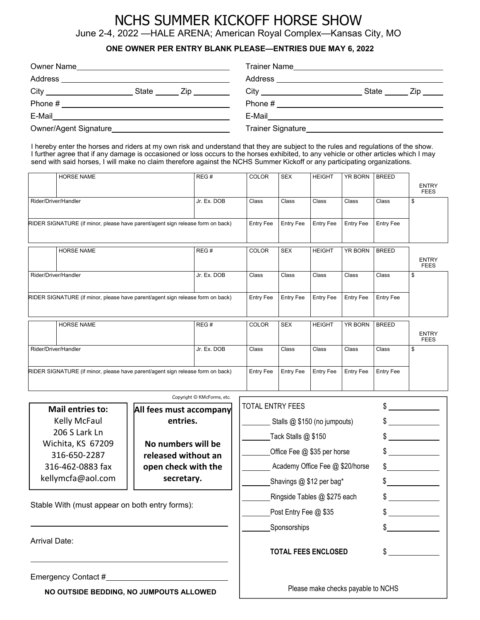### NCHS SUMMER KICKOFF HORSE SHOW June 2-4, 2022 —HALE ARENA; American Royal Complex—Kansas City, MO

#### **ONE OWNER PER ENTRY BLANK PLEASE—ENTRIES DUE MAY 6, 2022**

| Owner Name                                                                                                             | <b>Trainer Name</b> |  |  |
|------------------------------------------------------------------------------------------------------------------------|---------------------|--|--|
| Address                                                                                                                | Address             |  |  |
| State<br>Zip in the set of the set of the set of the set of the set of the set of the set of the set of the set of the | State<br>∠ip.       |  |  |
| Phone #                                                                                                                | Phone #             |  |  |
| E-Mail                                                                                                                 | E-Mail              |  |  |
| Owner/Agent Signature                                                                                                  | Trainer Signature   |  |  |

I hereby enter the horses and riders at my own risk and understand that they are subject to the rules and regulations of the show. I further agree that if any damage is occasioned or loss occurs to the horses exhibited, to any vehicle or other articles which I may send with said horses, I will make no claim therefore against the NCHS Summer Kickoff or any participating organizations.

| <b>HORSE NAME</b>                                                              | REG#        | <b>COLOR</b>     | <b>SEX</b>       | <b>HEIGHT</b>    | <b>YR BORN</b>   | <b>BREED</b>     |                             |
|--------------------------------------------------------------------------------|-------------|------------------|------------------|------------------|------------------|------------------|-----------------------------|
|                                                                                |             |                  |                  |                  |                  |                  | <b>ENTRY</b><br><b>FEES</b> |
| Rider/Driver/Handler                                                           | Jr. Ex. DOB | Class            | Class            | Class            | Class            | Class            | \$                          |
| RIDER SIGNATURE (if minor, please have parent/agent sign release form on back) |             | <b>Entry Fee</b> | <b>Entry Fee</b> | <b>Entry Fee</b> | <b>Entry Fee</b> | <b>Entry Fee</b> |                             |
| <b>HORSE NAME</b>                                                              | REG#        | <b>COLOR</b>     | <b>SEX</b>       | <b>HEIGHT</b>    | <b>YR BORN</b>   | <b>BREED</b>     | <b>ENTRY</b><br><b>FEES</b> |
| Rider/Driver/Handler                                                           | Jr. Ex. DOB | Class            | Class            | Class            | Class            | Class            | \$                          |
| RIDER SIGNATURE (if minor, please have parent/agent sign release form on back) |             | <b>Entry Fee</b> | <b>Entry Fee</b> | <b>Entry Fee</b> | <b>Entry Fee</b> | <b>Entry Fee</b> |                             |
| <b>HORSE NAME</b>                                                              | REG#        | <b>COLOR</b>     | <b>SEX</b>       | <b>HEIGHT</b>    | <b>YR BORN</b>   | <b>BREED</b>     | <b>ENTRY</b><br><b>FEES</b> |
| Rider/Driver/Handler                                                           | Jr. Ex. DOB | Class            | Class            | Class            | Class            | Class            | \$                          |
| RIDER SIGNATURE (if minor, please have parent/agent sign release form on back) |             | <b>Entry Fee</b> | <b>Entry Fee</b> | <b>Entry Fee</b> | <b>Entry Fee</b> | <b>Entry Fee</b> |                             |

|                                                | Copyright © KMcForms, etc.              |                                    |     |  |
|------------------------------------------------|-----------------------------------------|------------------------------------|-----|--|
|                                                |                                         | <b>TOTAL ENTRY FEES</b>            |     |  |
| <b>Mail entries to:</b>                        | All fees must accompany                 |                                    |     |  |
| Kelly McFaul                                   | entries.                                | Stalls @ \$150 (no jumpouts)       |     |  |
| 206 S Lark Ln                                  |                                         | Tack Stalls $@$ \$150              |     |  |
| Wichita, KS 67209                              | No numbers will be                      |                                    |     |  |
| 316-650-2287                                   | released without an                     | Office Fee @ \$35 per horse        |     |  |
| 316-462-0883 fax                               | open check with the<br>secretary.       | Academy Office Fee @ \$20/horse    | \$  |  |
| kellymcfa@aol.com                              |                                         | Shavings @ \$12 per bag*           |     |  |
|                                                |                                         | Ringside Tables @ \$275 each       |     |  |
| Stable With (must appear on both entry forms): |                                         | Post Entry Fee @ \$35              |     |  |
|                                                |                                         | Sponsorships                       |     |  |
| Arrival Date:                                  |                                         |                                    |     |  |
|                                                |                                         | <b>TOTAL FEES ENCLOSED</b>         | \$. |  |
|                                                |                                         |                                    |     |  |
| Emergency Contact #_________                   |                                         |                                    |     |  |
|                                                | NO OUTSIDE BEDDING, NO JUMPOUTS ALLOWED | Please make checks payable to NCHS |     |  |